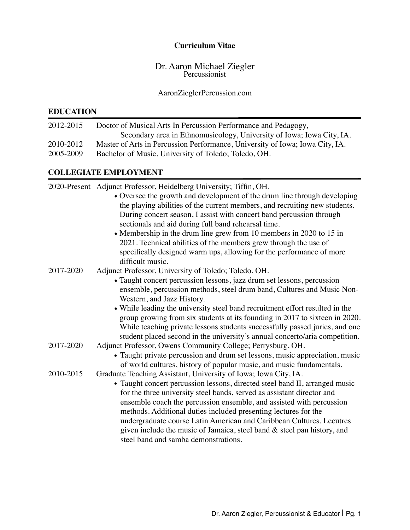### **Curriculum Vitae**

# Dr. Aaron Michael Ziegler Percussionist

### AaronZieglerPercussion.com

## **EDUCATION**

| 2012-2015 | Doctor of Musical Arts In Percussion Performance and Pedagogy,               |
|-----------|------------------------------------------------------------------------------|
|           | Secondary area in Ethnomusicology, University of Iowa; Iowa City, IA.        |
| 2010-2012 | Master of Arts in Percussion Performance, University of Iowa; Iowa City, IA. |
| 2005-2009 | Bachelor of Music, University of Toledo; Toledo, OH.                         |

# **COLLEGIATE EMPLOYMENT**

|           | 2020-Present Adjunct Professor, Heidelberg University; Tiffin, OH.           |
|-----------|------------------------------------------------------------------------------|
|           | • Oversee the growth and development of the drum line through developing     |
|           | the playing abilities of the current members, and recruiting new students.   |
|           | During concert season, I assist with concert band percussion through         |
|           | sectionals and aid during full band rehearsal time.                          |
|           | • Membership in the drum line grew from 10 members in 2020 to 15 in          |
|           | 2021. Technical abilities of the members grew through the use of             |
|           | specifically designed warm ups, allowing for the performance of more         |
|           | difficult music.                                                             |
| 2017-2020 | Adjunct Professor, University of Toledo; Toledo, OH.                         |
|           | • Taught concert percussion lessons, jazz drum set lessons, percussion       |
|           | ensemble, percussion methods, steel drum band, Cultures and Music Non-       |
|           | Western, and Jazz History.                                                   |
|           | • While leading the university steel band recruitment effort resulted in the |
|           | group growing from six students at its founding in 2017 to sixteen in 2020.  |
|           | While teaching private lessons students successfully passed juries, and one  |
|           | student placed second in the university's annual concerto/aria competition.  |
| 2017-2020 | Adjunct Professor, Owens Community College; Perrysburg, OH.                  |
|           | • Taught private percussion and drum set lessons, music appreciation, music  |
|           | of world cultures, history of popular music, and music fundamentals.         |
| 2010-2015 | Graduate Teaching Assistant, University of Iowa; Iowa City, IA.              |
|           | • Taught concert percussion lessons, directed steel band II, arranged music  |
|           | for the three university steel bands, served as assistant director and       |
|           | ensemble coach the percussion ensemble, and assisted with percussion         |
|           | methods. Additional duties included presenting lectures for the              |
|           | undergraduate course Latin American and Caribbean Cultures. Lecutres         |
|           | given include the music of Jamaica, steel band $\&$ steel pan history, and   |
|           | steel band and samba demonstrations.                                         |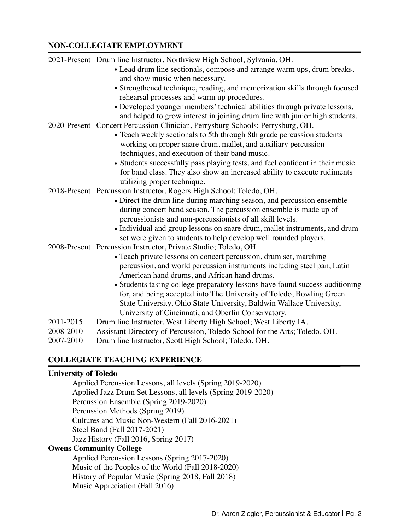## **NON-COLLEGIATE EMPLOYMENT**

|           | 2021-Present Drum line Instructor, Northview High School; Sylvania, OH.                                                                      |
|-----------|----------------------------------------------------------------------------------------------------------------------------------------------|
|           | • Lead drum line sectionals, compose and arrange warm ups, drum breaks,                                                                      |
|           | and show music when necessary.                                                                                                               |
|           | • Strengthened technique, reading, and memorization skills through focused                                                                   |
|           | rehearsal processes and warm up procedures.                                                                                                  |
|           | • Developed younger members' technical abilities through private lessons,                                                                    |
|           | and helped to grow interest in joining drum line with junior high students.                                                                  |
|           | 2020-Present Concert Percussion Clinician, Perrysburg Schools; Perrysburg, OH.                                                               |
|           | • Teach weekly sectionals to 5th through 8th grade percussion students                                                                       |
|           | working on proper snare drum, mallet, and auxiliary percussion<br>techniques, and execution of their band music.                             |
|           | • Students successfully pass playing tests, and feel confident in their music                                                                |
|           | for band class. They also show an increased ability to execute rudiments                                                                     |
|           | utilizing proper technique.                                                                                                                  |
|           | 2018-Present Percussion Instructor, Rogers High School; Toledo, OH.                                                                          |
|           | • Direct the drum line during marching season, and percussion ensemble                                                                       |
|           | during concert band season. The percussion ensemble is made up of                                                                            |
|           | percussionists and non-percussionists of all skill levels.                                                                                   |
|           | • Individual and group lessons on snare drum, mallet instruments, and drum                                                                   |
|           | set were given to students to help develop well rounded players.                                                                             |
|           | 2008-Present Percussion Instructor, Private Studio; Toledo, OH.                                                                              |
|           | • Teach private lessons on concert percussion, drum set, marching                                                                            |
|           | percussion, and world percussion instruments including steel pan, Latin                                                                      |
|           | American hand drums, and African hand drums.                                                                                                 |
|           | • Students taking college preparatory lessons have found success auditioning                                                                 |
|           | for, and being accepted into The University of Toledo, Bowling Green<br>State University, Ohio State University, Baldwin Wallace University, |
|           | University of Cincinnati, and Oberlin Conservatory.                                                                                          |
| 2011-2015 | Drum line Instructor, West Liberty High School; West Liberty IA.                                                                             |
| 2008-2010 | Assistant Directory of Percussion, Toledo School for the Arts; Toledo, OH.                                                                   |
| 2007-2010 | Drum line Instructor, Scott High School; Toledo, OH.                                                                                         |
|           |                                                                                                                                              |

## **COLLEGIATE TEACHING EXPERIENCE**

## **University of Toledo**

Applied Percussion Lessons, all levels (Spring 2019-2020) Applied Jazz Drum Set Lessons, all levels (Spring 2019-2020) Percussion Ensemble (Spring 2019-2020) Percussion Methods (Spring 2019) Cultures and Music Non-Western (Fall 2016-2021) Steel Band (Fall 2017-2021) Jazz History (Fall 2016, Spring 2017)

# **Owens Community College**

Applied Percussion Lessons (Spring 2017-2020) Music of the Peoples of the World (Fall 2018-2020) History of Popular Music (Spring 2018, Fall 2018) Music Appreciation (Fall 2016)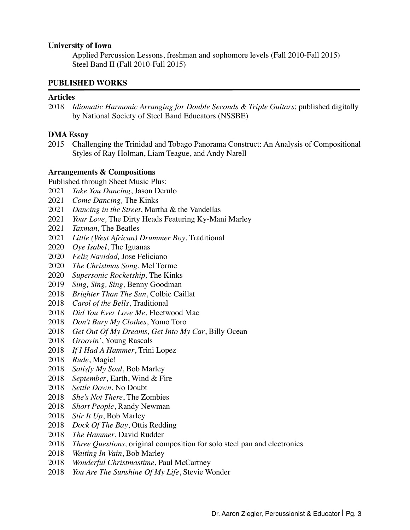#### **University of Iowa**

Applied Percussion Lessons, freshman and sophomore levels (Fall 2010-Fall 2015) Steel Band II (Fall 2010-Fall 2015)

#### **PUBLISHED WORKS**

#### **Articles**

 *Idiomatic Harmonic Arranging for Double Seconds & Triple Guitars*; published digitally by National Society of Steel Band Educators (NSSBE)

#### **DMA Essay**

2015 Challenging the Trinidad and Tobago Panorama Construct: An Analysis of Compositional Styles of Ray Holman, Liam Teague, and Andy Narell

#### **Arrangements & Compositions**

Published through Sheet Music Plus:

- *Take You Dancing*, Jason Derulo
- *Come Dancing,* The Kinks
- *Dancing in the Street*, Martha & the Vandellas
- *Your Love,* The Dirty Heads Featuring Ky-Mani Marley
- *Taxman,* The Beatles
- *Little (West African) Drummer Boy*, Traditional
- *Oye Isabel*, The Iguanas
- *Feliz Navidad,* Jose Feliciano
- *The Christmas Song*, Mel Torme
- *Supersonic Rocketship,* The Kinks
- *Sing, Sing, Sing,* Benny Goodman
- *Brighter Than The Sun*, Colbie Caillat
- *Carol of the Bells*, Traditional
- *Did You Ever Love Me*, Fleetwood Mac
- *Don't Bury My Clothes*, Yomo Toro
- *Get Out Of My Dreams, Get Into My Car*, Billy Ocean
- *Groovin'*, Young Rascals
- *If I Had A Hammer*, Trini Lopez
- *Rude*, Magic!
- *Satisfy My Soul*, Bob Marley
- *September*, Earth, Wind & Fire
- *Settle Down*, No Doubt
- *She's Not There*, The Zombies
- *Short People*, Randy Newman
- *Stir It Up*, Bob Marley
- *Dock Of The Bay*, Ottis Redding
- *The Hammer*, David Rudder
- *Three Questions,* original composition for solo steel pan and electronics
- *Waiting In Vain*, Bob Marley
- *Wonderful Christmastime*, Paul McCartney
- *You Are The Sunshine Of My Life*, Stevie Wonder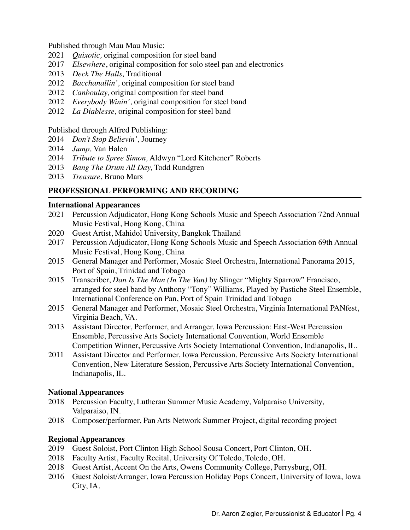Published through Mau Mau Music:

- 2021 *Quixotic,* original composition for steel band
- 2017 *Elsewhere*, original composition for solo steel pan and electronics
- 2013 *Deck The Halls,* Traditional
- 2012 *Bacchanallin',* original composition for steel band
- 2012 *Canboulay,* original composition for steel band
- 2012 *Everybody Winin',* original composition for steel band
- 2012 *La Diablesse,* original composition for steel band

#### Published through Alfred Publishing:

- 2014 *Don't Stop Believin',* Journey
- 2014 *Jump,* Van Halen
- 2014 *Tribute to Spree Simon,* Aldwyn "Lord Kitchener" Roberts
- 2013 *Bang The Drum All Day,* Todd Rundgren
- 2013 *Treasure*, Bruno Mars

## **PROFESSIONAL PERFORMING AND RECORDING**

#### **International Appearances**

- 2021 Percussion Adjudicator, Hong Kong Schools Music and Speech Association 72nd Annual Music Festival, Hong Kong, China
- 2020 Guest Artist, Mahidol University, Bangkok Thailand
- 2017 Percussion Adjudicator, Hong Kong Schools Music and Speech Association 69th Annual Music Festival, Hong Kong, China
- 2015 General Manager and Performer, Mosaic Steel Orchestra, International Panorama 2015, Port of Spain, Trinidad and Tobago
- 2015 Transcriber, *Dan Is The Man (In The Van)* by Slinger "Mighty Sparrow" Francisco, arranged for steel band by Anthony "Tony" Williams, Played by Pastiche Steel Ensemble, International Conference on Pan, Port of Spain Trinidad and Tobago
- 2015 General Manager and Performer, Mosaic Steel Orchestra, Virginia International PANfest, Virginia Beach, VA.
- 2013 Assistant Director, Performer, and Arranger, Iowa Percussion: East-West Percussion Ensemble, Percussive Arts Society International Convention, World Ensemble Competition Winner, Percussive Arts Society International Convention, Indianapolis, IL.
- 2011 Assistant Director and Performer, Iowa Percussion, Percussive Arts Society International Convention, New Literature Session, Percussive Arts Society International Convention, Indianapolis, IL.

#### **National Appearances**

- 2018 Percussion Faculty, Lutheran Summer Music Academy, Valparaiso University, Valparaiso, IN.
- 2018 Composer/performer, Pan Arts Network Summer Project, digital recording project

## **Regional Appearances**

- 2019 Guest Soloist, Port Clinton High School Sousa Concert, Port Clinton, OH.
- 2018 Faculty Artist, Faculty Recital, University Of Toledo, Toledo, OH.
- 2018 Guest Artist, Accent On the Arts, Owens Community College, Perrysburg, OH.
- 2016 Guest Soloist/Arranger, Iowa Percussion Holiday Pops Concert, University of Iowa, Iowa City, IA.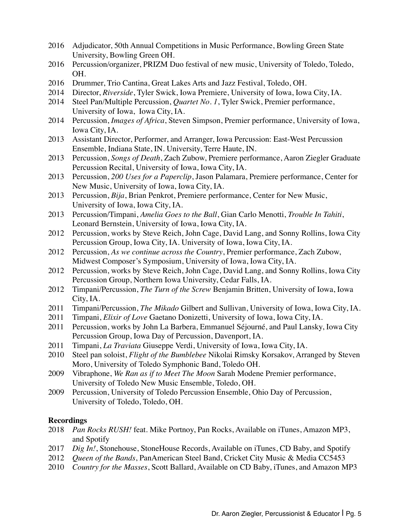- 2016 Adjudicator, 50th Annual Competitions in Music Performance, Bowling Green State University, Bowling Green OH.
- 2016 Percussion/organizer, PRIZM Duo festival of new music, University of Toledo, Toledo, OH.
- 2016 Drummer, Trio Cantina, Great Lakes Arts and Jazz Festival, Toledo, OH.
- 2014 Director, *Riverside*, Tyler Swick, Iowa Premiere, University of Iowa, Iowa City, IA.
- 2014 Steel Pan/Multiple Percussion, *Quartet No. 1*, Tyler Swick, Premier performance, University of Iowa, Iowa City, IA.
- 2014 Percussion, *Images of Africa*, Steven Simpson, Premier performance, University of Iowa, Iowa City, IA.
- 2013 Assistant Director, Performer, and Arranger, Iowa Percussion: East-West Percussion Ensemble, Indiana State, IN. University, Terre Haute, IN.
- 2013 Percussion, *Songs of Death*, Zach Zubow, Premiere performance, Aaron Ziegler Graduate Percussion Recital, University of Iowa, Iowa City, IA.
- 2013 Percussion, *200 Uses for a Paperclip*, Jason Palamara, Premiere performance, Center for New Music, University of Iowa, Iowa City, IA.
- 2013 Percussion, *Bija*, Brian Penkrot, Premiere performance, Center for New Music, University of Iowa, Iowa City, IA.
- 2013 Percussion/Timpani, *Amelia Goes to the Ball*, Gian Carlo Menotti, *Trouble In Tahiti*, Leonard Bernstein, University of Iowa, Iowa City, IA.
- 2012 Percussion, works by Steve Reich, John Cage, David Lang, and Sonny Rollins, Iowa City Percussion Group, Iowa City, IA. University of Iowa, Iowa City, IA.
- 2012 Percussion, *As we continue across the Country*, Premier performance, Zach Zubow, Midwest Composer's Symposium, University of Iowa, Iowa City, IA.
- 2012 Percussion, works by Steve Reich, John Cage, David Lang, and Sonny Rollins, Iowa City Percussion Group, Northern Iowa University, Cedar Falls, IA.
- 2012 Timpani/Percussion, *The Turn of the Screw* Benjamin Britten, University of Iowa, Iowa City, IA.
- 2011 Timpani/Percussion, *The Mikado* Gilbert and Sullivan, University of Iowa, Iowa City, IA.
- 2011 Timpani, *Elixir of Love* Gaetano Donizetti, University of Iowa, Iowa City, IA.
- 2011 Percussion, works by John La Barbera, Emmanuel Séjourné, and Paul Lansky, Iowa City Percussion Group, Iowa Day of Percussion, Davenport, IA.
- 2011 Timpani, *La Traviata* Giuseppe Verdi, University of Iowa, Iowa City, IA.
- 2010 Steel pan soloist, *Flight of the Bumblebee* Nikolai Rimsky Korsakov, Arranged by Steven Moro, University of Toledo Symphonic Band, Toledo OH.
- 2009 Vibraphone, *We Ran as if to Meet The Moon* Sarah Modene Premier performance, University of Toledo New Music Ensemble, Toledo, OH.
- 2009 Percussion, University of Toledo Percussion Ensemble, Ohio Day of Percussion, University of Toledo, Toledo, OH.

#### **Recordings**

- 2018 *Pan Rocks RUSH!* feat. Mike Portnoy, Pan Rocks, Available on iTunes, Amazon MP3, and Spotify
- 2017 *Dig In!*, Stonehouse, StoneHouse Records, Available on iTunes, CD Baby, and Spotify
- 2012 *Queen of the Bands*, PanAmerican Steel Band, Cricket City Music & Media CC5453
- 2010 *Country for the Masses*, Scott Ballard, Available on CD Baby, iTunes, and Amazon MP3